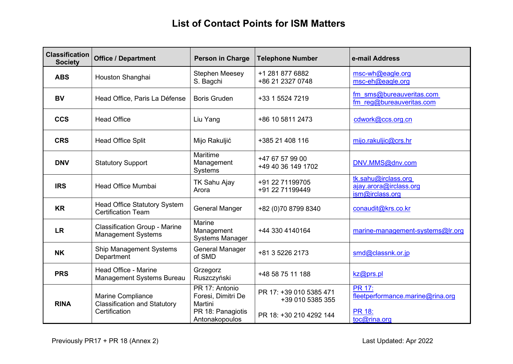## **List of Contact Points for ISM Matters**

| <b>Classification</b><br><b>Society</b> | <b>Office / Department</b>                                                | <b>Person in Charge</b>                                              | <b>Telephone Number</b>                     | e-mail Address                                                     |
|-----------------------------------------|---------------------------------------------------------------------------|----------------------------------------------------------------------|---------------------------------------------|--------------------------------------------------------------------|
| <b>ABS</b>                              | Houston Shanghai                                                          | <b>Stephen Meesey</b><br>S. Bagchi                                   | +1 281 877 6882<br>+86 21 2327 0748         | msc-wh@eagle.org<br>msc-eh@eagle.org                               |
| <b>BV</b>                               | Head Office, Paris La Défense                                             | <b>Boris Gruden</b>                                                  | +33 1 5524 7219                             | fm sms@bureauveritas.com<br>fm reg@bureauveritas.com               |
| <b>CCS</b>                              | <b>Head Office</b>                                                        | Liu Yang                                                             | +86 10 5811 2473                            | cdwork@ccs.org.cn                                                  |
| <b>CRS</b>                              | <b>Head Office Split</b>                                                  | Mijo Rakuljić                                                        | +385 21 408 116                             | mijo.rakuljic@crs.hr                                               |
| <b>DNV</b>                              | <b>Statutory Support</b>                                                  | Maritime<br>Management<br><b>Systems</b>                             | +47 67 57 99 00<br>+49 40 36 149 1702       | DNV.MMS@dnv.com                                                    |
| <b>IRS</b>                              | <b>Head Office Mumbai</b>                                                 | TK Sahu Ajay<br>Arora                                                | +91 22 71199705<br>+91 22 71199449          | tk.sahu@irclass.org<br>ajay.arora@irclass.org<br>ism@irclass.org   |
| <b>KR</b>                               | <b>Head Office Statutory System</b><br><b>Certification Team</b>          | <b>General Manger</b>                                                | +82 (0)70 8799 8340                         | conaudit@krs.co.kr                                                 |
| <b>LR</b>                               | <b>Classification Group - Marine</b><br><b>Management Systems</b>         | Marine<br>Management<br><b>Systems Manager</b>                       | +44 330 4140164                             | marine-management-systems@lr.org                                   |
| <b>NK</b>                               | Ship Management Systems<br>Department                                     | <b>General Manager</b><br>of SMD                                     | +81 3 5226 2173                             | smd@classnk.or.jp                                                  |
| <b>PRS</b>                              | Head Office - Marine<br><b>Management Systems Bureau</b>                  | Grzegorz<br>Ruszczyński                                              | +48 58 75 11 188                            | kz@prs.pl                                                          |
| <b>RINA</b>                             | Marine Compliance<br><b>Classification and Statutory</b><br>Certification | PR 17: Antonio<br>Foresi, Dimitri De<br>Martini<br>PR 18: Panagiotis | PR 17: +39 010 5385 471<br>+39 010 5385 355 | <b>PR 17:</b><br>fleetperformance.marine@rina.org<br><b>PR 18:</b> |
|                                         |                                                                           | Antonakopoulos                                                       | PR 18: +30 210 4292 144                     | toc@rina.org                                                       |